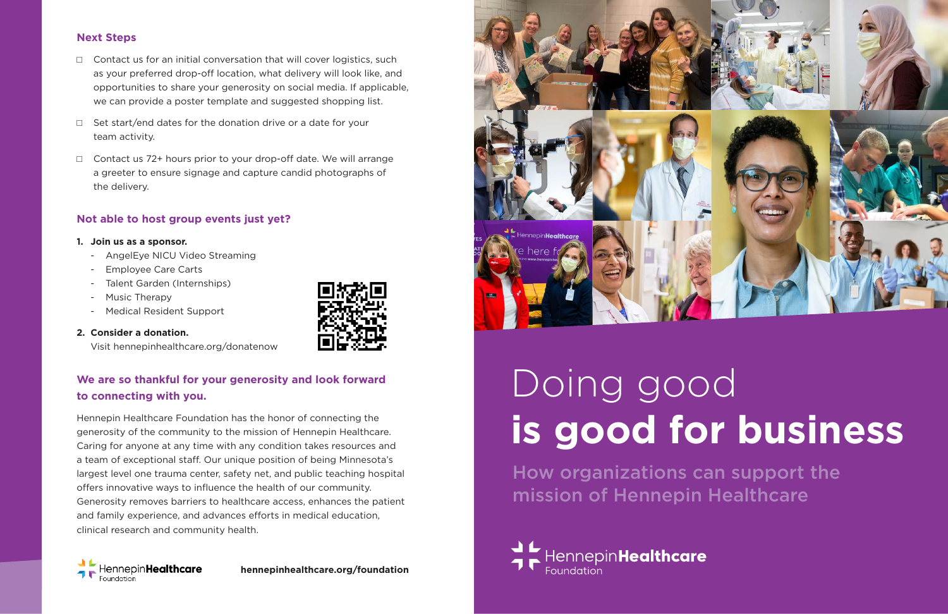# **Next Steps**

- $\Box$  Contact us for an initial conversation that will cover logistics, such as your preferred drop-off location, what delivery will look like, and opportunities to share your generosity on social media. If applicable, we can provide a poster template and suggested shopping list.
- $\Box$  Set start/end dates for the donation drive or a date for your team activity.
- $\Box$  Contact us 72+ hours prior to your drop-off date. We will arrange a greeter to ensure signage and capture candid photographs of the delivery.

## **Not able to host group events just yet?**

#### **1. Join us as a sponsor.**

- AngelEye NICU Video Streaming
- Employee Care Carts
- Talent Garden (Internships)
- Music Therapy
- Medical Resident Support
- **2. Consider a donation.**



Visit hennepinhealthcare.org/donatenow

# **We are so thankful for your generosity and look forward to connecting with you.**

Hennepin Healthcare Foundation has the honor of connecting the generosity of the community to the mission of Hennepin Healthcare. Caring for anyone at any time with any condition takes resources and a team of exceptional staff. Our unique position of being Minnesota's largest level one trauma center, safety net, and public teaching hospital offers innovative ways to influence the health of our community. Generosity removes barriers to healthcare access, enhances the patient and family experience, and advances efforts in medical education, clinical research and community health.



**hennepinhealthcare.org/foundation**



# Doing good **is good for business** How organizations can support the mission of Hennepin Healthcare